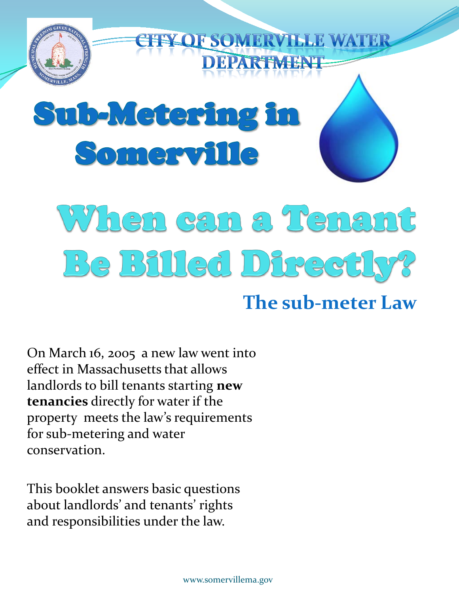

On March 16, 2005 a new law went into effect in Massachusetts that allows landlords to bill tenants starting **new tenancies** directly for water if the property meets the law's requirements for sub-metering and water conservation.

This booklet answers basic questions about landlords' and tenants' rights and responsibilities under the law.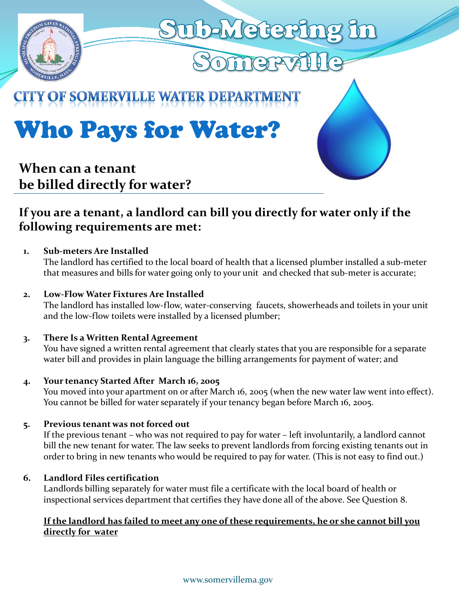

# Who Pays for Water?

#### **When can a tenant be billed directly for water?**

#### **If you are a tenant, a landlord can bill you directly for water only if the following requirements are met:**

#### **1. Sub-meters Are Installed**

The landlord has certified to the local board of health that a licensed plumber installed a sub-meter that measures and bills for water going only to your unit and checked that sub-meter is accurate;

#### **2. Low-Flow Water Fixtures Are Installed**

The landlord has installed low-flow, water-conserving faucets, showerheads and toilets in your unit and the low-flow toilets were installed by a licensed plumber;

#### **3. There Is a Written Rental Agreement**

You have signed a written rental agreement that clearly states that you are responsible for a separate water bill and provides in plain language the billing arrangements for payment of water; and

#### **4. Your tenancy Started After March 16, 2005**

You moved into your apartment on or after March 16, 2005 (when the new water law went into effect). You cannot be billed for water separately if your tenancy began before March 16, 2005.

#### **5. Previous tenant was not forced out**

If the previous tenant – who was not required to pay for water – left involuntarily, a landlord cannot bill the new tenant for water. The law seeks to prevent landlords from forcing existing tenants out in order to bring in new tenants who would be required to pay for water. (This is not easy to find out.)

#### **6. Landlord Files certification**

Landlords billing separately for water must file a certificate with the local board of health or inspectional services department that certifies they have done all of the above. See Question 8.

#### **If the landlord has failed to meet any one of these requirements, he or she cannot bill you directly for water**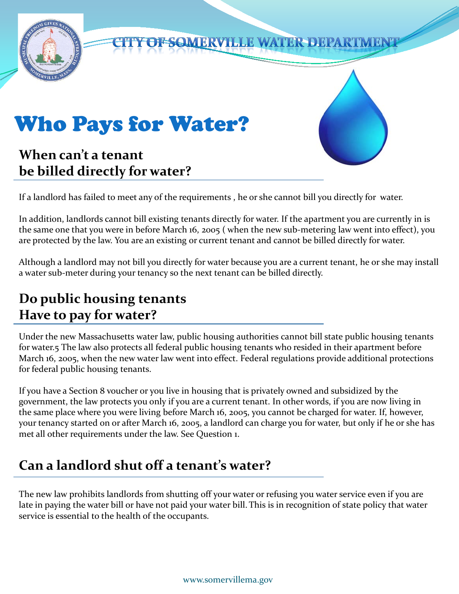

If a landlord has failed to meet any of the requirements , he or she cannot bill you directly for water.

In addition, landlords cannot bill existing tenants directly for water. If the apartment you are currently in is the same one that you were in before March 16, 2005 ( when the new sub-metering law went into effect), you are protected by the law. You are an existing or current tenant and cannot be billed directly for water.

Although a landlord may not bill you directly for water because you are a current tenant, he or she may install a water sub-meter during your tenancy so the next tenant can be billed directly.

## **Do public housing tenants Have to pay for water?**

Under the new Massachusetts water law, public housing authorities cannot bill state public housing tenants for water.5 The law also protects all federal public housing tenants who resided in their apartment before March 16, 2005, when the new water law went into effect. Federal regulations provide additional protections for federal public housing tenants.

If you have a Section 8 voucher or you live in housing that is privately owned and subsidized by the government, the law protects you only if you are a current tenant. In other words, if you are now living in the same place where you were living before March 16, 2005, you cannot be charged for water. If, however, your tenancy started on or after March 16, 2005, a landlord can charge you for water, but only if he or she has met all other requirements under the law. See Question 1.

## **Can a landlord shut off a tenant's water?**

The new law prohibits landlords from shutting off your water or refusing you water service even if you are late in paying the water bill or have not paid your water bill. This is in recognition of state policy that water service is essential to the health of the occupants.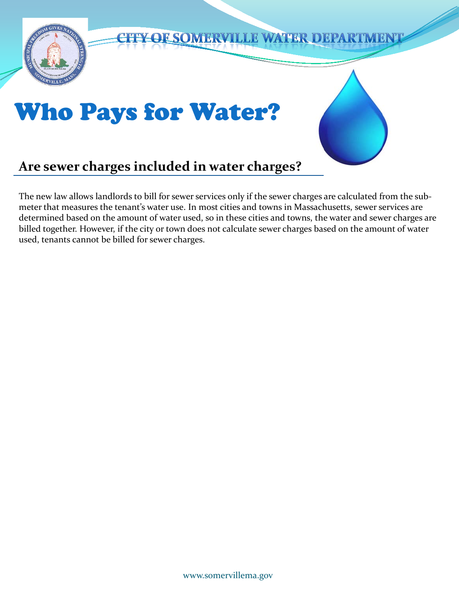

#### The new law allows landlords to bill for sewer services only if the sewer charges are calculated from the submeter that measures the tenant's water use. In most cities and towns in Massachusetts, sewer services are determined based on the amount of water used, so in these cities and towns, the water and sewer charges are billed together. However, if the city or town does not calculate sewer charges based on the amount of water used, tenants cannot be billed for sewer charges.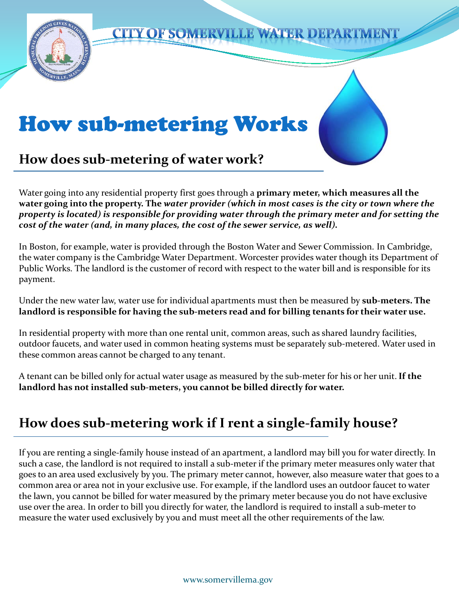

Water going into any residential property first goes through a **primary meter, which measures all the water going into the property. The** *water provider (which in most cases is the city or town where the property is located) is responsible for providing water through the primary meter and for setting the cost of the water (and, in many places, the cost of the sewer service, as well).* 

In Boston, for example, water is provided through the Boston Water and Sewer Commission. In Cambridge, the water company is the Cambridge Water Department. Worcester provides water though its Department of Public Works. The landlord is the customer of record with respect to the water bill and is responsible for its payment.

Under the new water law, water use for individual apartments must then be measured by **sub-meters. The landlord is responsible for having the sub-meters read and for billing tenants for their water use.** 

In residential property with more than one rental unit, common areas, such as shared laundry facilities, outdoor faucets, and water used in common heating systems must be separately sub-metered. Water used in these common areas cannot be charged to any tenant.

A tenant can be billed only for actual water usage as measured by the sub-meter for his or her unit.**If the landlord has not installed sub-meters, you cannot be billed directly for water.**

## **How does sub-metering work if I rent a single-family house?**

If you are renting a single-family house instead of an apartment, a landlord may bill you for water directly. In such a case, the landlord is not required to install a sub-meter if the primary meter measures only water that goes to an area used exclusively by you. The primary meter cannot, however, also measure water that goes to a common area or area not in your exclusive use. For example, if the landlord uses an outdoor faucet to water the lawn, you cannot be billed for water measured by the primary meter because you do not have exclusive use over the area. In order to bill you directly for water, the landlord is required to install a sub-meter to measure the water used exclusively by you and must meet all the other requirements of the law.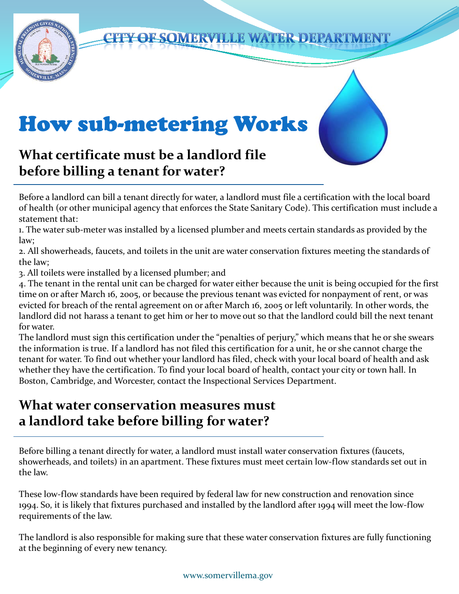

#### **CITY OF SOMERVILLE WATER DEPARTMENT**

## How sub-metering Works

## **What certificate must be a landlord file before billing a tenant for water?**

Before a landlord can bill a tenant directly for water, a landlord must file a certification with the local board of health (or other municipal agency that enforces the State Sanitary Code). This certification must include a statement that:

1. The water sub-meter was installed by a licensed plumber and meets certain standards as provided by the law;

2. All showerheads, faucets, and toilets in the unit are water conservation fixtures meeting the standards of the law;

3. All toilets were installed by a licensed plumber; and

4. The tenant in the rental unit can be charged for water either because the unit is being occupied for the first time on or after March 16, 2005, or because the previous tenant was evicted for nonpayment of rent, or was evicted for breach of the rental agreement on or after March 16, 2005 or left voluntarily. In other words, the landlord did not harass a tenant to get him or her to move out so that the landlord could bill the next tenant for water.

The landlord must sign this certification under the "penalties of perjury," which means that he or she swears the information is true. If a landlord has not filed this certification for a unit, he or she cannot charge the tenant for water. To find out whether your landlord has filed, check with your local board of health and ask whether they have the certification. To find your local board of health, contact your city or town hall. In Boston, Cambridge, and Worcester, contact the Inspectional Services Department.

#### **What water conservation measures must a landlord take before billing for water?**

Before billing a tenant directly for water, a landlord must install water conservation fixtures (faucets, showerheads, and toilets) in an apartment. These fixtures must meet certain low-flow standards set out in the law.

These low-flow standards have been required by federal law for new construction and renovation since 1994. So, it is likely that fixtures purchased and installed by the landlord after 1994 will meet the low-flow requirements of the law.

The landlord is also responsible for making sure that these water conservation fixtures are fully functioning at the beginning of every new tenancy.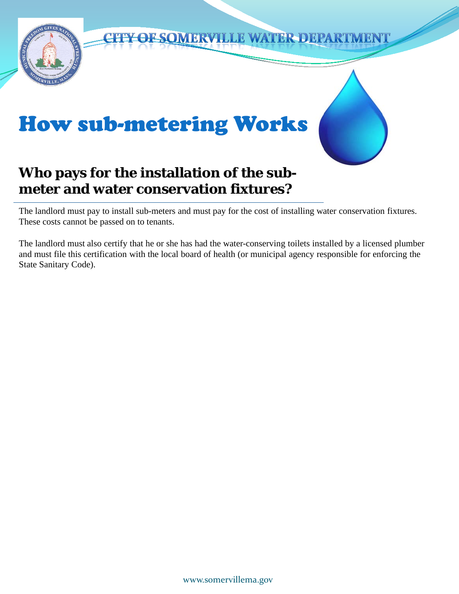

#### **CITY OF SOMERVILLE WATER DEPARTMENT**

## How sub-metering Works

## **Who pays for the installation of the submeter and water conservation fixtures?**

The landlord must pay to install sub-meters and must pay for the cost of installing water conservation fixtures. These costs cannot be passed on to tenants.

The landlord must also certify that he or she has had the water-conserving toilets installed by a licensed plumber and must file this certification with the local board of health (or municipal agency responsible for enforcing the State Sanitary Code).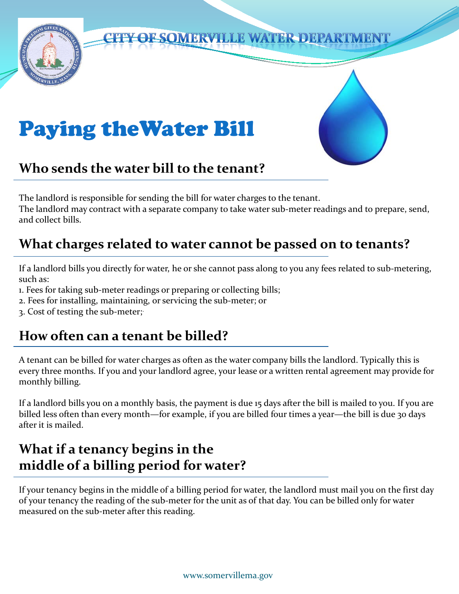

## **CITY OF SOMERVILLE WATER DEPARTMENT**

# Paying theWater Bill

#### **Who sends the water bill to the tenant?**

The landlord is responsible for sending the bill for water charges to the tenant. The landlord may contract with a separate company to take water sub-meter readings and to prepare, send, and collect bills.

## **What charges related to water cannot be passed on to tenants?**

If a landlord bills you directly for water, he or she cannot pass along to you any fees related to sub-metering, such as:

- 1. Fees for taking sub-meter readings or preparing or collecting bills;
- 2. Fees for installing, maintaining, or servicing the sub-meter; or
- 3. Cost of testing the sub-meter;.

#### **How often can a tenant be billed?**

A tenant can be billed for water charges as often as the water company bills the landlord. Typically this is every three months. If you and your landlord agree, your lease or a written rental agreement may provide for monthly billing.

If a landlord bills you on a monthly basis, the payment is due 15 days after the bill is mailed to you. If you are billed less often than every month—for example, if you are billed four times a year—the bill is due 30 days after it is mailed.

#### **What if a tenancy begins in the middle of a billing period for water?**

If your tenancy begins in the middle of a billing period for water, the landlord must mail you on the first day of your tenancy the reading of the sub-meter for the unit as of that day. You can be billed only for water measured on the sub-meter after this reading.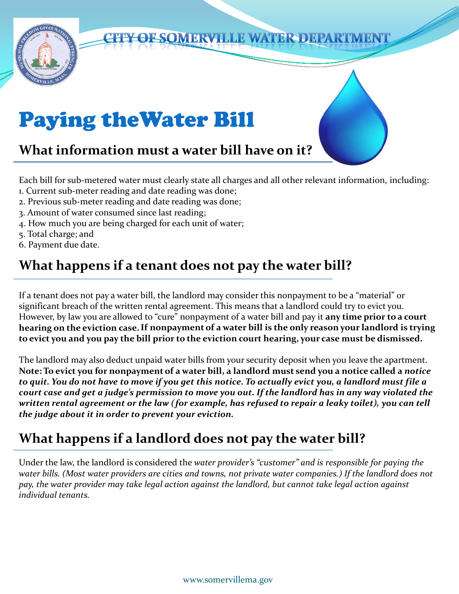

Each bill for sub-metered water must clearly state all charges and all other relevant information, including:

- 1. Current sub-meter reading and date reading was done;
- 2. Previous sub-meter reading and date reading was done;
- 3. Amount of water consumed since last reading;
- 4. How much you are being charged for each unit of water;
- 5. Total charge; and
- 6. Payment due date.

## **What happens if a tenant does not pay the water bill?**

If a tenant does not pay a water bill, the landlord may consider this nonpayment to be a "material" or significant breach of the written rental agreement. This means that a landlord could try to evict you. However, by law you are allowed to "cure" nonpayment of a water bill and pay it **any time prior to a court hearing on the eviction case.If nonpayment of a water bill is the only reason your landlord is trying to evict you and you pay the bill prior to the eviction court hearing, your case must be dismissed.** 

The landlord may also deduct unpaid water bills from your security deposit when you leave the apartment. **Note: To evict you for nonpayment of a water bill, a landlord must send you a notice called a** *notice to quit. You do not have to move if you get this notice. To actually evict you, a landlord must file a court case and get a judge's permission to move you out. If the landlord has in any way violated the written rental agreement or the law (for example, has refused to repair a leaky toilet), you can tell the judge about it in order to prevent your eviction.* 

## **What happens if a landlord does not pay the water bill?**

Under the law, the landlord is considered the *water provider's "customer" and is responsible for paying the water bills. (Most water providers are cities and towns, not private water companies.) If the landlord does not pay, the water provider may take legal action against the landlord, but cannot take legal action against individual tenants.*